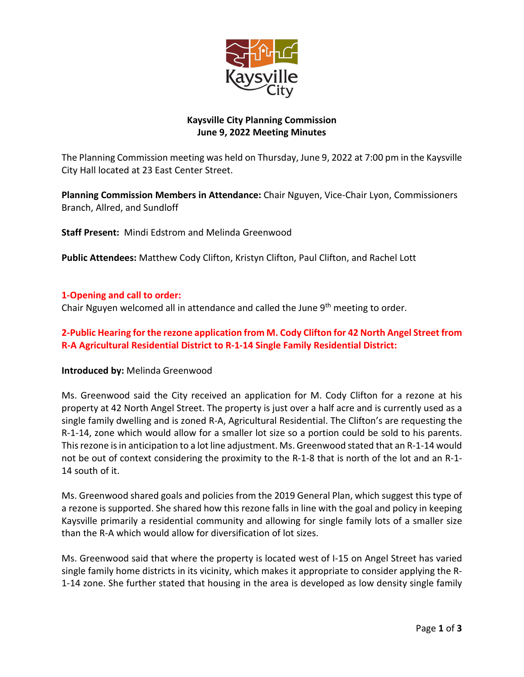

## **Kaysville City Planning Commission June 9, 2022 Meeting Minutes**

The Planning Commission meeting was held on Thursday, June 9, 2022 at 7:00 pm in the Kaysville City Hall located at 23 East Center Street.

**Planning Commission Members in Attendance:** Chair Nguyen, Vice-Chair Lyon, Commissioners Branch, Allred, and Sundloff

**Staff Present:** Mindi Edstrom and Melinda Greenwood

**Public Attendees:** Matthew Cody Clifton, Kristyn Clifton, Paul Clifton, and Rachel Lott

### **1-Opening and call to order:**

Chair Nguyen welcomed all in attendance and called the June  $9<sup>th</sup>$  meeting to order.

## **2-Public Hearing for the rezone application from M. Cody Clifton for 42 North Angel Street from R-A Agricultural Residential District to R-1-14 Single Family Residential District:**

#### **Introduced by:** Melinda Greenwood

Ms. Greenwood said the City received an application for M. Cody Clifton for a rezone at his property at 42 North Angel Street. The property is just over a half acre and is currently used as a single family dwelling and is zoned R-A, Agricultural Residential. The Clifton's are requesting the R-1-14, zone which would allow for a smaller lot size so a portion could be sold to his parents. This rezone is in anticipation to a lot line adjustment. Ms. Greenwood stated that an R-1-14 would not be out of context considering the proximity to the R-1-8 that is north of the lot and an R-1- 14 south of it.

Ms. Greenwood shared goals and policies from the 2019 General Plan, which suggest this type of a rezone is supported. She shared how this rezone falls in line with the goal and policy in keeping Kaysville primarily a residential community and allowing for single family lots of a smaller size than the R-A which would allow for diversification of lot sizes.

Ms. Greenwood said that where the property is located west of I-15 on Angel Street has varied single family home districts in its vicinity, which makes it appropriate to consider applying the R-1-14 zone. She further stated that housing in the area is developed as low density single family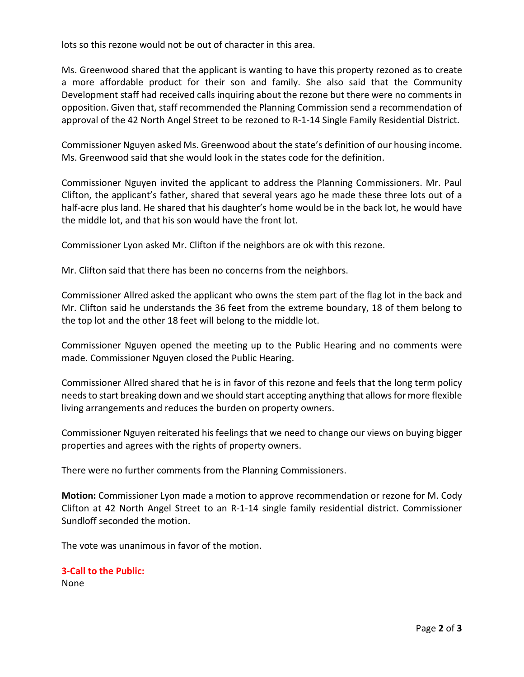lots so this rezone would not be out of character in this area.

Ms. Greenwood shared that the applicant is wanting to have this property rezoned as to create a more affordable product for their son and family. She also said that the Community Development staff had received calls inquiring about the rezone but there were no comments in opposition. Given that, staff recommended the Planning Commission send a recommendation of approval of the 42 North Angel Street to be rezoned to R-1-14 Single Family Residential District.

Commissioner Nguyen asked Ms. Greenwood about the state's definition of our housing income. Ms. Greenwood said that she would look in the states code for the definition.

Commissioner Nguyen invited the applicant to address the Planning Commissioners. Mr. Paul Clifton, the applicant's father, shared that several years ago he made these three lots out of a half-acre plus land. He shared that his daughter's home would be in the back lot, he would have the middle lot, and that his son would have the front lot.

Commissioner Lyon asked Mr. Clifton if the neighbors are ok with this rezone.

Mr. Clifton said that there has been no concerns from the neighbors.

Commissioner Allred asked the applicant who owns the stem part of the flag lot in the back and Mr. Clifton said he understands the 36 feet from the extreme boundary, 18 of them belong to the top lot and the other 18 feet will belong to the middle lot.

Commissioner Nguyen opened the meeting up to the Public Hearing and no comments were made. Commissioner Nguyen closed the Public Hearing.

Commissioner Allred shared that he is in favor of this rezone and feels that the long term policy needs to start breaking down and we should start accepting anything that allows for more flexible living arrangements and reduces the burden on property owners.

Commissioner Nguyen reiterated his feelings that we need to change our views on buying bigger properties and agrees with the rights of property owners.

There were no further comments from the Planning Commissioners.

**Motion:** Commissioner Lyon made a motion to approve recommendation or rezone for M. Cody Clifton at 42 North Angel Street to an R-1-14 single family residential district. Commissioner Sundloff seconded the motion.

The vote was unanimous in favor of the motion.

# **3-Call to the Public:**

None